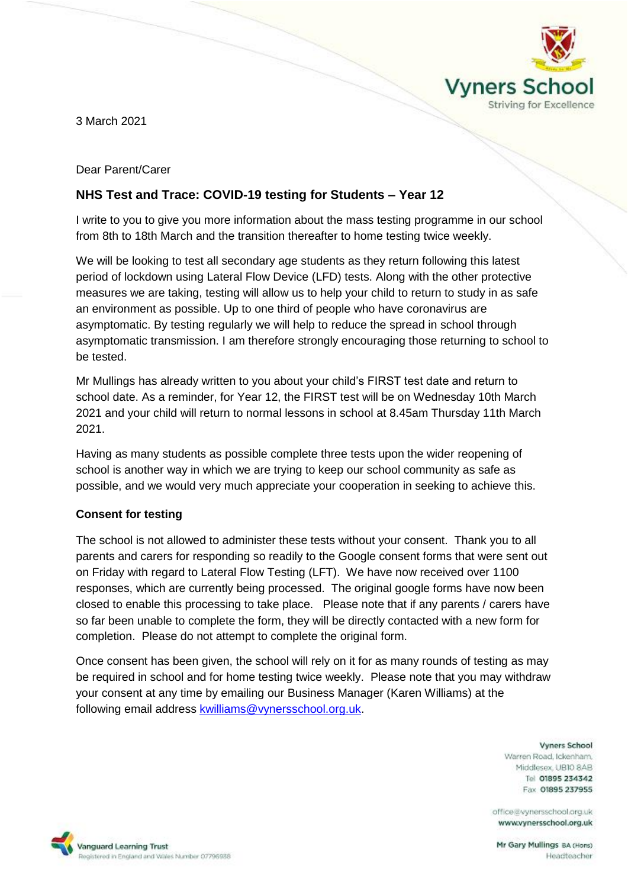

3 March 2021

Dear Parent/Carer

# **NHS Test and Trace: COVID-19 testing for Students – Year 12**

I write to you to give you more information about the mass testing programme in our school from 8th to 18th March and the transition thereafter to home testing twice weekly.

We will be looking to test all secondary age students as they return following this latest period of lockdown using Lateral Flow Device (LFD) tests. Along with the other protective measures we are taking, testing will allow us to help your child to return to study in as safe an environment as possible. Up to one third of people who have coronavirus are asymptomatic. By testing regularly we will help to reduce the spread in school through asymptomatic transmission. I am therefore strongly encouraging those returning to school to be tested.

Mr Mullings has already written to you about your child's FIRST test date and return to school date. As a reminder, for Year 12, the FIRST test will be on Wednesday 10th March 2021 and your child will return to normal lessons in school at 8.45am Thursday 11th March 2021.

Having as many students as possible complete three tests upon the wider reopening of school is another way in which we are trying to keep our school community as safe as possible, and we would very much appreciate your cooperation in seeking to achieve this.

## **Consent for testing**

The school is not allowed to administer these tests without your consent. Thank you to all parents and carers for responding so readily to the Google consent forms that were sent out on Friday with regard to Lateral Flow Testing (LFT). We have now received over 1100 responses, which are currently being processed. The original google forms have now been closed to enable this processing to take place. Please note that if any parents / carers have so far been unable to complete the form, they will be directly contacted with a new form for completion. Please do not attempt to complete the original form.

Once consent has been given, the school will rely on it for as many rounds of testing as may be required in school and for home testing twice weekly. Please note that you may withdraw your consent at any time by emailing our Business Manager (Karen Williams) at the following email address **kwilliams@vynersschool.org.uk.** 

> **Vyners School** Warren Road, Ickenham, Middlesex, UBIO 8AB Tel 01895 234342 Fax 01895 237955

office@vynersschool.org.uk www.vynersschool.org.uk

Vanguard Learning Trust legistered in England and Wales Number 07796938

Mr Gary Mullings BA (Hons) Headteacher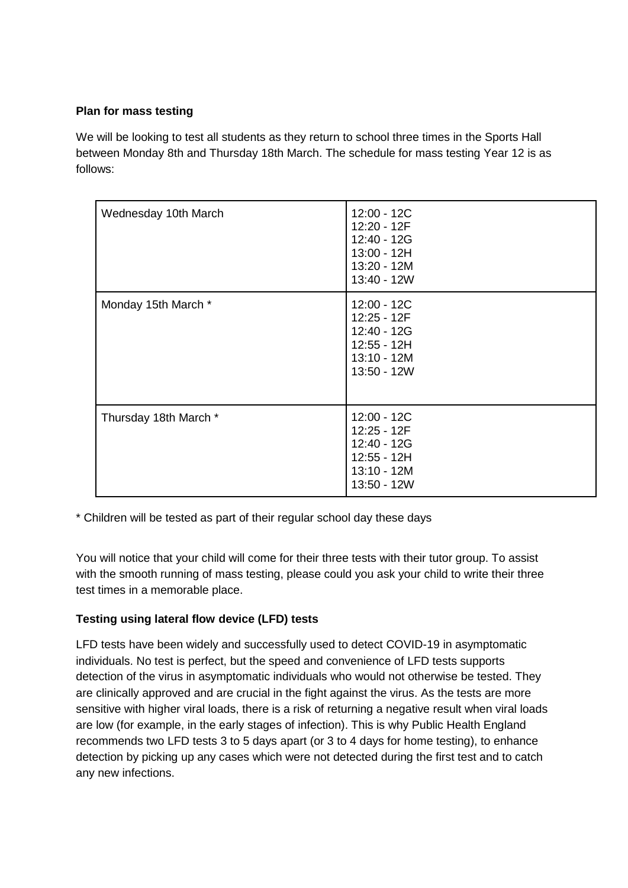## **Plan for mass testing**

We will be looking to test all students as they return to school three times in the Sports Hall between Monday 8th and Thursday 18th March. The schedule for mass testing Year 12 is as follows:

| Wednesday 10th March  | 12:00 - 12C<br>12:20 - 12F<br>12:40 - 12G<br>13:00 - 12H<br>13:20 - 12M<br>13:40 - 12W   |
|-----------------------|------------------------------------------------------------------------------------------|
| Monday 15th March *   | 12:00 - 12C<br>12:25 - 12F<br>12:40 - 12G<br>12:55 - 12H<br>$13:10 - 12M$<br>13:50 - 12W |
| Thursday 18th March * | 12:00 - 12C<br>12:25 - 12F<br>12:40 - 12G<br>12:55 - 12H<br>$13:10 - 12M$<br>13:50 - 12W |

\* Children will be tested as part of their regular school day these days

You will notice that your child will come for their three tests with their tutor group. To assist with the smooth running of mass testing, please could you ask your child to write their three test times in a memorable place.

## **Testing using lateral flow device (LFD) tests**

LFD tests have been widely and successfully used to detect COVID-19 in asymptomatic individuals. No test is perfect, but the speed and convenience of LFD tests supports detection of the virus in asymptomatic individuals who would not otherwise be tested. They are clinically approved and are crucial in the fight against the virus. As the tests are more sensitive with higher viral loads, there is a risk of returning a negative result when viral loads are low (for example, in the early stages of infection). This is why Public Health England recommends two LFD tests 3 to 5 days apart (or 3 to 4 days for home testing), to enhance detection by picking up any cases which were not detected during the first test and to catch any new infections.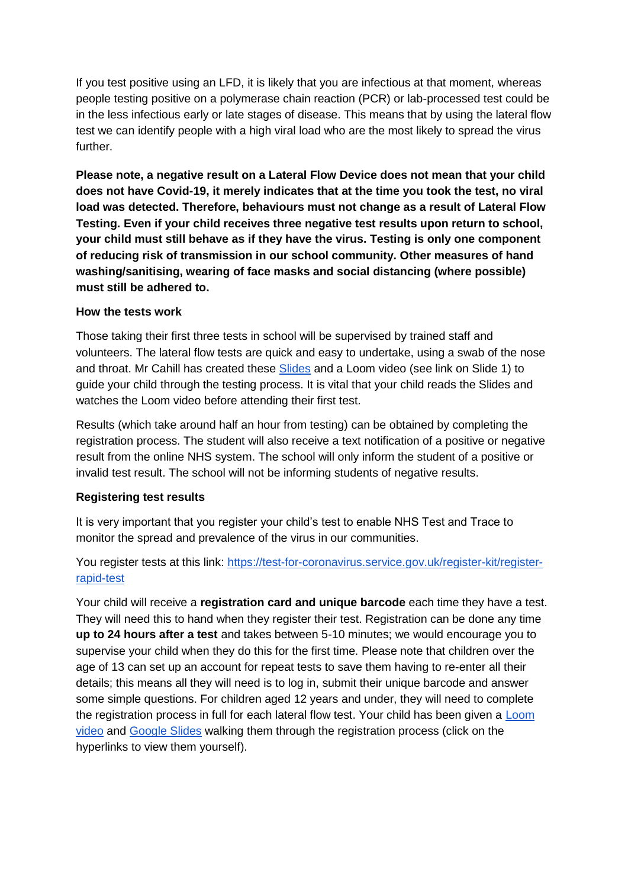If you test positive using an LFD, it is likely that you are infectious at that moment, whereas people testing positive on a polymerase chain reaction (PCR) or lab-processed test could be in the less infectious early or late stages of disease. This means that by using the lateral flow test we can identify people with a high viral load who are the most likely to spread the virus further.

**Please note, a negative result on a Lateral Flow Device does not mean that your child does not have Covid-19, it merely indicates that at the time you took the test, no viral load was detected. Therefore, behaviours must not change as a result of Lateral Flow Testing. Even if your child receives three negative test results upon return to school, your child must still behave as if they have the virus. Testing is only one component of reducing risk of transmission in our school community. Other measures of hand washing/sanitising, wearing of face masks and social distancing (where possible) must still be adhered to.**

#### **How the tests work**

Those taking their first three tests in school will be supervised by trained staff and volunteers. The lateral flow tests are quick and easy to undertake, using a swab of the nose and throat. Mr Cahill has created these [Slides](https://docs.google.com/presentation/d/1gz1t-rqJkTcXn6FmRusH9uKAaRId2x0yOQJAcbk5ymU/edit?usp=sharing) and a Loom video (see link on Slide 1) to guide your child through the testing process. It is vital that your child reads the Slides and watches the Loom video before attending their first test.

Results (which take around half an hour from testing) can be obtained by completing the registration process. The student will also receive a text notification of a positive or negative result from the online NHS system. The school will only inform the student of a positive or invalid test result. The school will not be informing students of negative results.

## **Registering test results**

It is very important that you register your child's test to enable NHS Test and Trace to monitor the spread and prevalence of the virus in our communities.

You register tests at this link: [https://test-for-coronavirus.service.gov.uk/register-kit/register](https://test-for-coronavirus.service.gov.uk/register-kit/register-rapid-test)[rapid-test](https://test-for-coronavirus.service.gov.uk/register-kit/register-rapid-test)

Your child will receive a **registration card and unique barcode** each time they have a test. They will need this to hand when they register their test. Registration can be done any time **up to 24 hours after a test** and takes between 5-10 minutes; we would encourage you to supervise your child when they do this for the first time. Please note that children over the age of 13 can set up an account for repeat tests to save them having to re-enter all their details; this means all they will need is to log in, submit their unique barcode and answer some simple questions. For children aged 12 years and under, they will need to complete the registration process in full for each lateral flow test. Your child has been given a Loom [video](https://www.loom.com/share/aea42cd2f9124e51b03fe8972f9a3583) and [Google Slides](https://docs.google.com/presentation/d/11chsOQ94u8ECZV-K7yZ9nf1DvangLK9Y0KLWEpb9z-A/edit?usp=sharing) walking them through the registration process (click on the hyperlinks to view them yourself).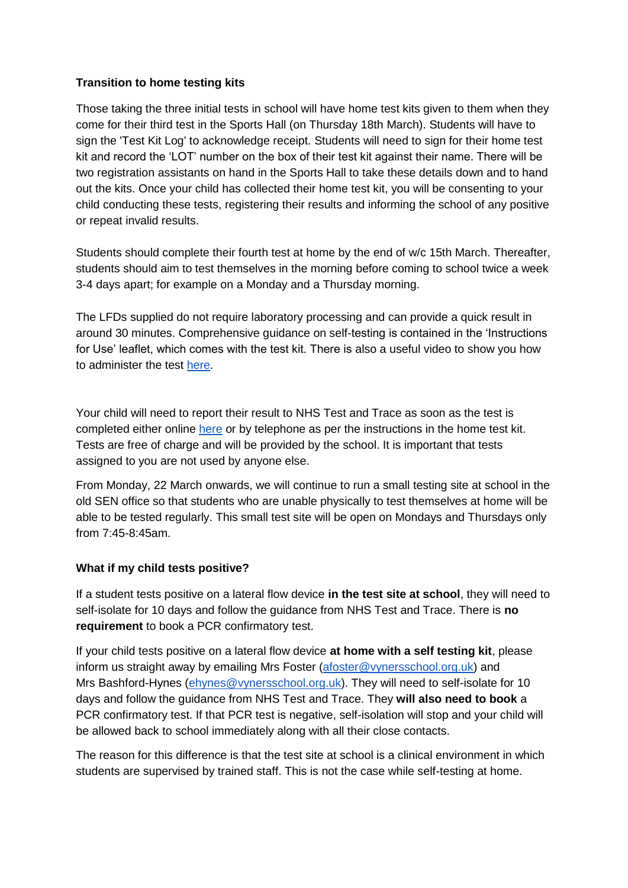#### **Transition to home testing kits**

Those taking the three initial tests in school will have home test kits given to them when they come for their third test in the Sports Hall (on Thursday 18th March). Students will have to sign the 'Test Kit Log' to acknowledge receipt. Students will need to sign for their home test kit and record the 'LOT' number on the box of their test kit against their name. There will be two registration assistants on hand in the Sports Hall to take these details down and to hand out the kits. Once your child has collected their home test kit, you will be consenting to your child conducting these tests, registering their results and informing the school of any positive or repeat invalid results.

Students should complete their fourth test at home by the end of w/c 15th March. Thereafter, students should aim to test themselves in the morning before coming to school twice a week 3-4 days apart; for example on a Monday and a Thursday morning.

The LFDs supplied do not require laboratory processing and can provide a quick result in around 30 minutes. Comprehensive guidance on self-testing is contained in the 'Instructions for Use' leaflet, which comes with the test kit. There is also a useful video to show you how to administer the test [here.](https://www.youtube.com/playlist?list=PLvaBZskxS7tzQYlVg7lwH5uxAD9UrSzGJ)

Your child will need to report their result to NHS Test and Trace as soon as the test is completed either online [here](https://www.gov.uk/report-covid19-result) or by telephone as per the instructions in the home test kit. Tests are free of charge and will be provided by the school. It is important that tests assigned to you are not used by anyone else.

From Monday, 22 March onwards, we will continue to run a small testing site at school in the old SEN office so that students who are unable physically to test themselves at home will be able to be tested regularly. This small test site will be open on Mondays and Thursdays only from 7:45-8:45am.

## **What if my child tests positive?**

If a student tests positive on a lateral flow device **in the test site at school**, they will need to self-isolate for 10 days and follow the guidance from NHS Test and Trace. There is **no requirement** to book a PCR confirmatory test.

If your child tests positive on a lateral flow device **at home with a self testing kit**, please inform us straight away by emailing Mrs Foster [\(afoster@vynersschool.org.uk\)](mailto:afoster@vynersschool.org.uk) and Mrs Bashford-Hynes [\(ehynes@vynersschool.org.uk\)](mailto:ehynes@vynersschool.org.uk). They will need to self-isolate for 10 days and follow the guidance from NHS Test and Trace. They **will also need to book** a PCR confirmatory test. If that PCR test is negative, self-isolation will stop and your child will be allowed back to school immediately along with all their close contacts.

The reason for this difference is that the test site at school is a clinical environment in which students are supervised by trained staff. This is not the case while self-testing at home.